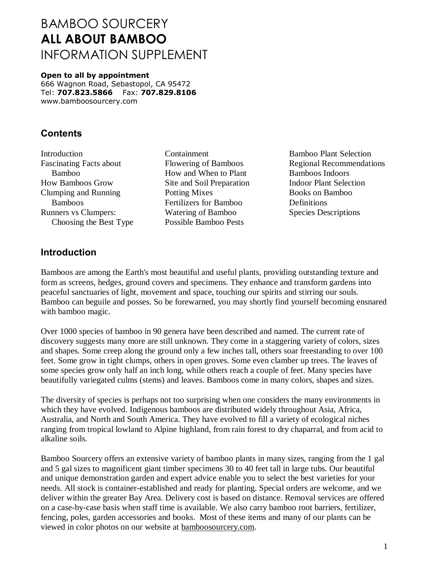# BAMBOO SOURCERY **ALL ABOUT BAMBOO** INFORMATION SUPPLEMENT

**Open to all by appointment** 666 Wagnon Road, Sebastopol, CA 95472 Tel: **707.823.5866** Fax: **707.829.8106** www.bamboosourcery.com

### **Contents**

**Introduction** Fascinating Facts about Bamboo How Bamboos Grow Clumping and Running Bamboos Runners vs Clumpers: Choosing the Best Type

Containment Flowering of Bamboos How and When to Plant Site and Soil Preparation Potting Mixes Fertilizers for Bamboo Watering of Bamboo Possible Bamboo Pests

Bamboo Plant Selection Regional Recommendations Bamboos Indoors Indoor Plant Selection Books on Bamboo Definitions Species Descriptions

### **Introduction**

Bamboos are among the Earth's most beautiful and useful plants, providing outstanding texture and form as screens, hedges, ground covers and specimens. They enhance and transform gardens into peaceful sanctuaries of light, movement and space, touching our spirits and stirring our souls. Bamboo can beguile and posses. So be forewarned, you may shortly find yourself becoming ensnared with bamboo magic.

Over 1000 species of bamboo in 90 genera have been described and named. The current rate of discovery suggests many more are still unknown. They come in a staggering variety of colors, sizes and shapes. Some creep along the ground only a few inches tall, others soar freestanding to over 100 feet. Some grow in tight clumps, others in open groves. Some even clamber up trees. The leaves of some species grow only half an inch long, while others reach a couple of feet. Many species have beautifully variegated culms (stems) and leaves. Bamboos come in many colors, shapes and sizes.

The diversity of species is perhaps not too surprising when one considers the many environments in which they have evolved. Indigenous bamboos are distributed widely throughout Asia, Africa, Australia, and North and South America. They have evolved to fill a variety of ecological niches ranging from tropical lowland to Alpine highland, from rain forest to dry chaparral, and from acid to alkaline soils.

Bamboo Sourcery offers an extensive variety of bamboo plants in many sizes, ranging from the 1 gal and 5 gal sizes to magnificent giant timber specimens 30 to 40 feet tall in large tubs. Our beautiful and unique demonstration garden and expert advice enable you to select the best varieties for your needs. All stock is container-established and ready for planting. Special orders are welcome, and we deliver within the greater Bay Area. Delivery cost is based on distance. Removal services are offered on a case-by-case basis when staff time is available. We also carry bamboo root barriers, fertilizer, fencing, poles, garden accessories and books. Most of these items and many of our plants can be viewed in color photos on our website at bamboosourcery.com.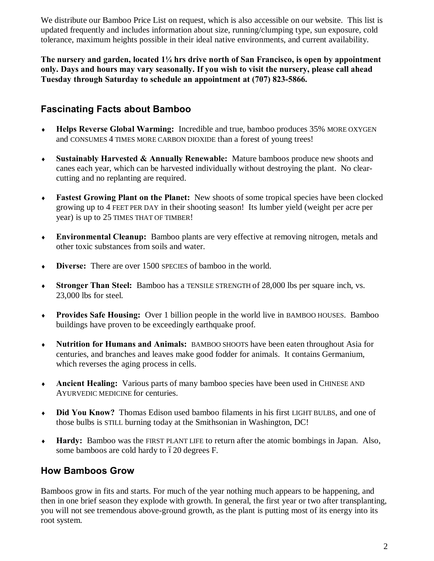We distribute our Bamboo Price List on request, which is also accessible on our website. This list is updated frequently and includes information about size, running/clumping type, sun exposure, cold tolerance, maximum heights possible in their ideal native environments, and current availability.

**The nursery and garden, located 1¼ hrs drive north of San Francisco, is open by appointment only. Days and hours may vary seasonally. If you wish to visit the nursery, please call ahead Tuesday through Saturday to schedule an appointment at (707) 823-5866.**

### **Fascinating Facts about Bamboo**

- ® **Helps Reverse Global Warming:** Incredible and true, bamboo produces 35% MORE OXYGEN and CONSUMES 4 TIMES MORE CARBON DIOXIDE than a forest of young trees!
- ® **Sustainably Harvested & Annually Renewable:** Mature bamboos produce new shoots and canes each year, which can be harvested individually without destroying the plant. No clearcutting and no replanting are required.
- ® **Fastest Growing Plant on the Planet:** New shoots of some tropical species have been clocked growing up to 4 FEET PER DAY in their shooting season! Its lumber yield (weight per acre per year) is up to 25 TIMES THAT OF TIMBER!
- ® **Environmental Cleanup:** Bamboo plants are very effective at removing nitrogen, metals and other toxic substances from soils and water.
- ® **Diverse:** There are over 1500 SPECIES of bamboo in the world.
- ® **Stronger Than Steel:** Bamboo has a TENSILE STRENGTH of 28,000 lbs per square inch, vs. 23,000 lbs for steel.
- ® **Provides Safe Housing:** Over 1 billion people in the world live in BAMBOO HOUSES. Bamboo buildings have proven to be exceedingly earthquake proof.
- ® **Nutrition for Humans and Animals:** BAMBOO SHOOTS have been eaten throughout Asia for centuries, and branches and leaves make good fodder for animals. It contains Germanium, which reverses the aging process in cells.
- ® **Ancient Healing:** Various parts of many bamboo species have been used in CHINESE AND AYURVEDIC MEDICINE for centuries.
- ® **Did You Know?** Thomas Edison used bamboo filaments in his first LIGHT BULBS, and one of those bulbs is STILL burning today at the Smithsonian in Washington, DC!
- ® **Hardy:** Bamboo was the FIRST PLANT LIFE to return after the atomic bombings in Japan. Also, some bamboos are cold hardy to  $620$  degrees F.

### **How Bamboos Grow**

Bamboos grow in fits and starts. For much of the year nothing much appears to be happening, and then in one brief season they explode with growth. In general, the first year or two after transplanting, you will not see tremendous above-ground growth, as the plant is putting most of its energy into its root system.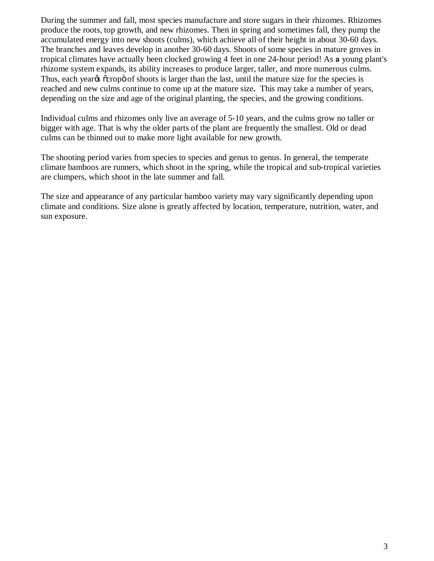During the summer and fall, most species manufacture and store sugars in their rhizomes. Rhizomes produce the roots, top growth, and new rhizomes. Then in spring and sometimes fall, they pump the accumulated energy into new shoots (culms), which achieve all of their height in about 30-60 days. The branches and leaves develop in another 30-60 days. Shoots of some species in mature groves in tropical climates have actually been clocked growing 4 feet in one 24-hour period! As **a** young plant's rhizome system expands, its ability increases to produce larger, taller, and more numerous culms. Thus, each year<sub><sup>os</sup></sub>  $\alpha$  cropos of shoots is larger than the last, until the mature size for the species is reached and new culms continue to come up at the mature size**.** This may take a number of years, depending on the size and age of the original planting, the species, and the growing conditions.

Individual culms and rhizomes only live an average of 5-10 years, and the culms grow no taller or bigger with age. That is why the older parts of the plant are frequently the smallest. Old or dead culms can be thinned out to make more light available for new growth.

The shooting period varies from species to species and genus to genus. In general, the temperate climate bamboos are runners, which shoot in the spring, while the tropical and sub-tropical varieties are clumpers, which shoot in the late summer and fall.

The size and appearance of any particular bamboo variety may vary significantly depending upon climate and conditions. Size alone is greatly affected by location, temperature, nutrition, water, and sun exposure.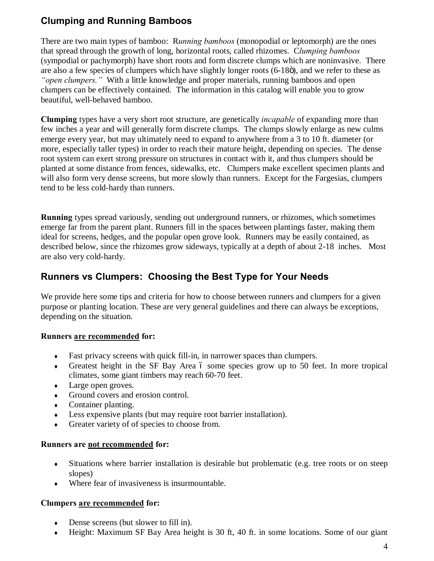# **Clumping and Running Bamboos**

There are two main types of bamboo: R*unning bamboos* (monopodial or leptomorph) are the ones that spread through the growth of long, horizontal roots, called rhizomes. C*lumping bamboos* (sympodial or pachymorph) have short roots and form discrete clumps which are noninvasive. There are also a few species of clumpers which have slightly longer roots (6-18 $\ddot{\text{o}}$ ), and we refer to these as *"open clumpers."* With a little knowledge and proper materials, running bamboos and open clumpers can be effectively contained. The information in this catalog will enable you to grow beautiful, well-behaved bamboo.

**Clumping** types have a very short root structure, are genetically *incapable* of expanding more than few inches a year and will generally form discrete clumps. The clumps slowly enlarge as new culms emerge every year, but may ultimately need to expand to anywhere from a 3 to 10 ft. diameter (or more, especially taller types) in order to reach their mature height, depending on species. The dense root system can exert strong pressure on structures in contact with it, and thus clumpers should be planted at some distance from fences, sidewalks, etc. Clumpers make excellent specimen plants and will also form very dense screens, but more slowly than runners. Except for the Fargesias, clumpers tend to be less cold-hardy than runners.

**Running** types spread variously, sending out underground runners, or rhizomes, which sometimes emerge far from the parent plant. Runners fill in the spaces between plantings faster, making them ideal for screens, hedges, and the popular open grove look. Runners may be easily contained, as described below, since the rhizomes grow sideways, typically at a depth of about 2-18 inches. Most are also very cold-hardy.

### **Runners vs Clumpers: Choosing the Best Type for Your Needs**

We provide here some tips and criteria for how to choose between runners and clumpers for a given purpose or planting location. These are very general guidelines and there can always be exceptions, depending on the situation.

#### **Runners are recommended for:**

- $\bullet$  Fast privacy screens with quick fill-in, in narrower spaces than clumpers.
- $\bullet$  Greatest height in the SF Bay Area 6 some species grow up to 50 feet. In more tropical climates, some giant timbers may reach 60-70 feet.
- Large open groves.
- Ground covers and erosion control.
- $\bullet$  Container planting.
- $\bullet$  Less expensive plants (but may require root barrier installation).
- Greater variety of of species to choose from.

#### **Runners are not recommended for:**

- $\bullet$  Situations where barrier installation is desirable but problematic (e.g. tree roots or on steep slopes)
- ® Where fear of invasiveness is insurmountable.

#### **Clumpers are recommended for:**

- $\bullet$  Dense screens (but slower to fill in).
- ® Height: Maximum SF Bay Area height is 30 ft, 40 ft. in some locations. Some of our giant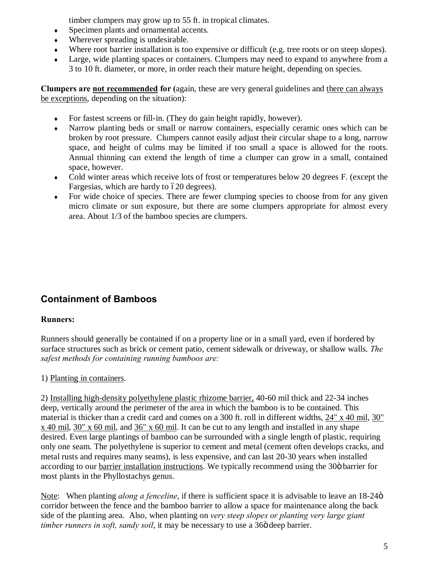timber clumpers may grow up to 55 ft. in tropical climates.

- Specimen plants and ornamental accents.
- $\bullet$  Wherever spreading is undesirable.
- ® Where root barrier installation is too expensive or difficult (e.g. tree roots or on steep slopes).
- ® Large, wide planting spaces or containers. Clumpers may need to expand to anywhere from a 3 to 10 ft. diameter, or more, in order reach their mature height, depending on species.

**Clumpers are not recommended for (**again, these are very general guidelines and there can always be exceptions, depending on the situation):

- $\bullet$  For fastest screens or fill-in. (They do gain height rapidly, however).
- ® Narrow planting beds or small or narrow containers, especially ceramic ones which can be broken by root pressure. Clumpers cannot easily adjust their circular shape to a long, narrow space, and height of culms may be limited if too small a space is allowed for the roots. Annual thinning can extend the length of time a clumper can grow in a small, contained space, however.
- Cold winter areas which receive lots of frost or temperatures below 20 degrees F. (except the Fargesias, which are hardy to  $620$  degrees).
- $\bullet$  For wide choice of species. There are fewer clumping species to choose from for any given micro climate or sun exposure, but there are some clumpers appropriate for almost every area. About 1/3 of the bamboo species are clumpers.

# **Containment of Bamboos**

#### **Runners:**

Runners should generally be contained if on a property line or in a small yard, even if bordered by surface structures such as brick or cement patio, cement sidewalk or driveway, or shallow walls. *The safest methods for containing running bamboos are:* 

#### 1) Planting in containers.

2) Installing high-density polyethylene plastic rhizome barrier, 40-60 mil thick and 22-34 inches deep, vertically around the perimeter of the area in which the bamboo is to be contained. This material is thicker than a credit card and comes on a 300 ft. roll in different widths, [24" x 40 mil,](http://bamboosourcery.com/products.cfm?id=27&row=1) [30"](http://bamboosourcery.com/products.cfm?id=48&row=2)  [x 40 mil,](http://bamboosourcery.com/products.cfm?id=48&row=2) [30" x 60 mil,](http://bamboosourcery.com/products.cfm?id=204&row=3) and [36" x 60 mil.](http://bamboosourcery.com/products.cfm?id=22&row=4) It can be cut to any length and installed in any shape desired. Even large plantings of bamboo can be surrounded with a single length of plastic, requiring only one seam. The polyethylene is superior to cement and metal (cement often develops cracks, and metal rusts and requires many seams), is less expensive, and can last 20-30 years when installed according to our [barrier installation instructions.](http://bamboosourcery.com/barrier_installation.cfm) We typically recommend using the 30 $\ddot{o}$  barrier for most plants in the Phyllostachys genus.

Note: When planting *along a fenceline*, if there is sufficient space it is advisable to leave an 18-24<sup>o</sup> corridor between the fence and the bamboo barrier to allow a space for maintenance along the back side of the planting area. Also, when planting on *very steep slopes or planting very large giant timber runners in soft, sandy soil*, it may be necessary to use a 360 deep barrier.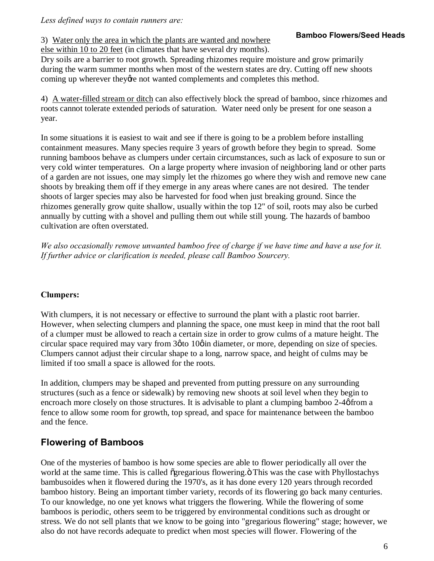*Less defined ways to contain runners are:*

#### 3) Water only the area in which the plants are wanted and nowhere

else within 10 to 20 feet (in climates that have several dry months).

Dry soils are a barrier to root growth. Spreading rhizomes require moisture and grow primarily during the warm summer months when most of the western states are dry. Cutting off new shoots coming up wherever they are not wanted complements and completes this method.

4) A water-filled stream or ditch can also effectively block the spread of bamboo, since rhizomes and roots cannot tolerate extended periods of saturation. Water need only be present for one season a year.

In some situations it is easiest to wait and see if there is going to be a problem before installing containment measures. Many species require 3 years of growth before they begin to spread. Some running bamboos behave as clumpers under certain circumstances, such as lack of exposure to sun or very cold winter temperatures. On a large property where invasion of neighboring land or other parts of a garden are not issues, one may simply let the rhizomes go where they wish and remove new cane shoots by breaking them off if they emerge in any areas where canes are not desired. The tender shoots of larger species may also be harvested for food when just breaking ground. Since the rhizomes generally grow quite shallow, usually within the top 12" of soil, roots may also be curbed annually by cutting with a shovel and pulling them out while still young. The hazards of bamboo cultivation are often overstated.

*We also occasionally remove unwanted bamboo free of charge if we have time and have a use for it. If further advice or clarification is needed, please call Bamboo Sourcery.* 

#### **Clumpers:**

With clumpers, it is not necessary or effective to surround the plant with a plastic root barrier. However, when selecting clumpers and planning the space, one must keep in mind that the root ball of a clumper must be allowed to reach a certain size in order to grow culms of a mature height. The circular space required may vary from  $3\phi$  to  $10\phi$  in diameter, or more, depending on size of species. Clumpers cannot adjust their circular shape to a long, narrow space, and height of culms may be limited if too small a space is allowed for the roots.

In addition, clumpers may be shaped and prevented from putting pressure on any surrounding structures (such as a fence or sidewalk) by removing new shoots at soil level when they begin to encroach more closely on those structures. It is advisable to plant a clumping bamboo  $2-4\phi$  from a fence to allow some room for growth, top spread, and space for maintenance between the bamboo and the fence.

### **Flowering of Bamboos**

One of the mysteries of bamboo is how some species are able to flower periodically all over the world at the same time. This is called  $\tilde{q}$  gregarious flowering. $\ddot{o}$  This was the case with Phyllostachys bambusoides when it flowered during the 1970's, as it has done every 120 years through recorded bamboo history. Being an important timber variety, records of its flowering go back many centuries. To our knowledge, no one yet knows what triggers the flowering. While the flowering of some bamboos is periodic, others seem to be triggered by environmental conditions such as drought or stress. We do not sell plants that we know to be going into "gregarious flowering" stage; however, we also do not have records adequate to predict when most species will flower. Flowering of the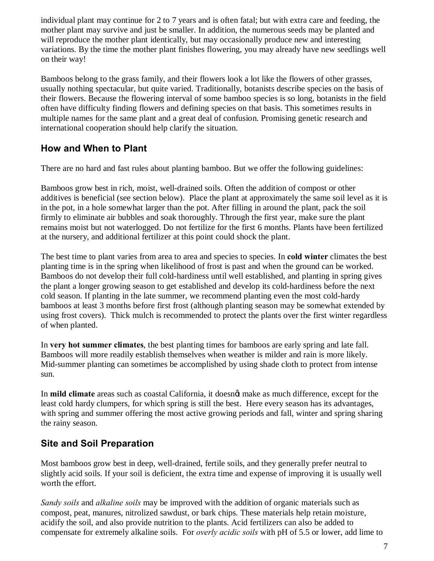individual plant may continue for 2 to 7 years and is often fatal; but with extra care and feeding, the mother plant may survive and just be smaller. In addition, the numerous seeds may be planted and will reproduce the mother plant identically, but may occasionally produce new and interesting variations. By the time the mother plant finishes flowering, you may already have new seedlings well on their way!

Bamboos belong to the grass family, and their flowers look a lot like the flowers of other grasses, usually nothing spectacular, but quite varied. Traditionally, botanists describe species on the basis of their flowers. Because the flowering interval of some bamboo species is so long, botanists in the field often have difficulty finding flowers and defining species on that basis. This sometimes results in multiple names for the same plant and a great deal of confusion. Promising genetic research and international cooperation should help clarify the situation.

### **How and When to Plant**

There are no hard and fast rules about planting bamboo. But we offer the following guidelines:

Bamboos grow best in rich, moist, well-drained soils. Often the addition of compost or other additives is beneficial (see section below). Place the plant at approximately the same soil level as it is in the pot, in a hole somewhat larger than the pot. After filling in around the plant, pack the soil firmly to eliminate air bubbles and soak thoroughly. Through the first year, make sure the plant remains moist but not waterlogged. Do not fertilize for the first 6 months. Plants have been fertilized at the nursery, and additional fertilizer at this point could shock the plant.

The best time to plant varies from area to area and species to species. In **cold winter** climates the best planting time is in the spring when likelihood of frost is past and when the ground can be worked. Bamboos do not develop their full cold-hardiness until well established, and planting in spring gives the plant a longer growing season to get established and develop its cold-hardiness before the next cold season. If planting in the late summer, we recommend planting even the most cold-hardy bamboos at least 3 months before first frost (although planting season may be somewhat extended by using frost covers). Thick mulch is recommended to protect the plants over the first winter regardless of when planted.

In **very hot summer climates**, the best planting times for bamboos are early spring and late fall. Bamboos will more readily establish themselves when weather is milder and rain is more likely. Mid-summer planting can sometimes be accomplished by using shade cloth to protect from intense sun.

In **mild climate** areas such as coastal California, it doesnot make as much difference, except for the least cold hardy clumpers, for which spring is still the best. Here every season has its advantages, with spring and summer offering the most active growing periods and fall, winter and spring sharing the rainy season.

# **Site and Soil Preparation**

Most bamboos grow best in deep, well-drained, fertile soils, and they generally prefer neutral to slightly acid soils. If your soil is deficient, the extra time and expense of improving it is usually well worth the effort.

*Sandy soils* and *alkaline soils* may be improved with the addition of organic materials such as compost, peat, manures, nitrolized sawdust, or bark chips. These materials help retain moisture, acidify the soil, and also provide nutrition to the plants. Acid fertilizers can also be added to compensate for extremely alkaline soils. For *overly acidic soils* with pH of 5.5 or lower, add lime to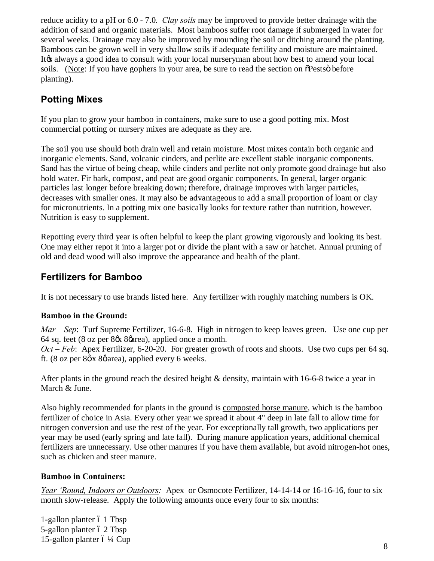reduce acidity to a pH or 6.0 - 7.0. *Clay soils* may be improved to provide better drainage with the addition of sand and organic materials. Most bamboos suffer root damage if submerged in water for several weeks. Drainage may also be improved by mounding the soil or ditching around the planting. Bamboos can be grown well in very shallow soils if adequate fertility and moisture are maintained. It the always a good idea to consult with your local nurseryman about how best to amend your local soils. (Note: If you have gophers in your area, be sure to read the section on  $\tilde{O}$ Pests $\ddot{o}$  before planting).

# **Potting Mixes**

If you plan to grow your bamboo in containers, make sure to use a good potting mix. Most commercial potting or nursery mixes are adequate as they are.

The soil you use should both drain well and retain moisture. Most mixes contain both organic and inorganic elements. Sand, volcanic cinders, and perlite are excellent stable inorganic components. Sand has the virtue of being cheap, while cinders and perlite not only promote good drainage but also hold water. Fir bark, compost, and peat are good organic components. In general, larger organic particles last longer before breaking down; therefore, drainage improves with larger particles, decreases with smaller ones. It may also be advantageous to add a small proportion of loam or clay for micronutrients. In a potting mix one basically looks for texture rather than nutrition, however. Nutrition is easy to supplement.

Repotting every third year is often helpful to keep the plant growing vigorously and looking its best. One may either repot it into a larger pot or divide the plant with a saw or hatchet. Annual pruning of old and dead wood will also improve the appearance and health of the plant.

### **Fertilizers for Bamboo**

It is not necessary to use brands listed here. Any fertilizer with roughly matching numbers is OK.

#### **Bamboo in the Ground:**

*Mar – Sep*: Turf Supreme Fertilizer, 16-6-8.High in nitrogen to keep leaves green. Use one cup per 64 sq. feet (8 oz per 8% 8%), applied once a month.

*Oct – Feb*: Apex Fertilizer, 6-20-20. For greater growth of roots and shoots. Use two cups per 64 sq. ft. (8 oz per  $8\phi x 8\phi$  area), applied every 6 weeks.

After plants in the ground reach the desired height & density, maintain with 16-6-8 twice a year in March & June.

Also highly recommended for plants in the ground is composted horse manure, which is the bamboo fertilizer of choice in Asia. Every other year we spread it about 4" deep in late fall to allow time for nitrogen conversion and use the rest of the year. For exceptionally tall growth, two applications per year may be used (early spring and late fall). During manure application years, additional chemical fertilizers are unnecessary. Use other manures if you have them available, but avoid nitrogen-hot ones, such as chicken and steer manure.

#### **Bamboo in Containers:**

*Year 'Round, Indoors or Outdoors:* Apex or Osmocote Fertilizer, 14-14-14 or 16-16-16, four to six month slow-release. Apply the following amounts once every four to six months:

1-gallon planter 6 1 Tbsp 5-gallon planter 6 2 Tbsp 15-gallon planter  $6\frac{1}{4}$  Cup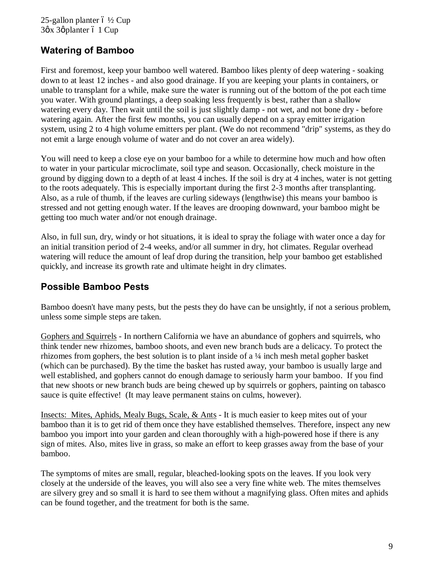25-gallon planter  $6\frac{1}{2}$  Cup  $3\phi$ x 3 $\phi$  planter 6 1 Cup

# **Watering of Bamboo**

First and foremost, keep your bamboo well watered. Bamboo likes plenty of deep watering - soaking down to at least 12 inches - and also good drainage. If you are keeping your plants in containers, or unable to transplant for a while, make sure the water is running out of the bottom of the pot each time you water. With ground plantings, a deep soaking less frequently is best, rather than a shallow watering every day. Then wait until the soil is just slightly damp - not wet, and not bone dry - before watering again. After the first few months, you can usually depend on a spray emitter irrigation system, using 2 to 4 high volume emitters per plant. (We do not recommend "drip" systems, as they do not emit a large enough volume of water and do not cover an area widely).

You will need to keep a close eye on your bamboo for a while to determine how much and how often to water in your particular microclimate, soil type and season. Occasionally, check moisture in the ground by digging down to a depth of at least 4 inches. If the soil is dry at 4 inches, water is not getting to the roots adequately. This is especially important during the first 2-3 months after transplanting. Also, as a rule of thumb, if the leaves are curling sideways (lengthwise) this means your bamboo is stressed and not getting enough water. If the leaves are drooping downward, your bamboo might be getting too much water and/or not enough drainage.

Also, in full sun, dry, windy or hot situations, it is ideal to spray the foliage with water once a day for an initial transition period of 2-4 weeks, and/or all summer in dry, hot climates. Regular overhead watering will reduce the amount of leaf drop during the transition, help your bamboo get established quickly, and increase its growth rate and ultimate height in dry climates.

# **Possible Bamboo Pests**

Bamboo doesn't have many pests, but the pests they do have can be unsightly, if not a serious problem, unless some simple steps are taken.

Gophers and Squirrels - In northern California we have an abundance of gophers and squirrels, who think tender new rhizomes, bamboo shoots, and even new branch buds are a delicacy. To protect the rhizomes from gophers, the best solution is to plant inside of a  $\frac{1}{4}$  inch mesh metal gopher basket (which can be purchased). By the time the basket has rusted away, your bamboo is usually large and well established, and gophers cannot do enough damage to seriously harm your bamboo. If you find that new shoots or new branch buds are being chewed up by squirrels or gophers, painting on tabasco sauce is quite effective! (It may leave permanent stains on culms, however).

Insects: Mites, Aphids, Mealy Bugs, Scale, & Ants - It is much easier to keep mites out of your bamboo than it is to get rid of them once they have established themselves. Therefore, inspect any new bamboo you import into your garden and clean thoroughly with a high-powered hose if there is any sign of mites. Also, mites live in grass, so make an effort to keep grasses away from the base of your bamboo.

The symptoms of mites are small, regular, bleached-looking spots on the leaves. If you look very closely at the underside of the leaves, you will also see a very fine white web. The mites themselves are silvery grey and so small it is hard to see them without a magnifying glass. Often mites and aphids can be found together, and the treatment for both is the same.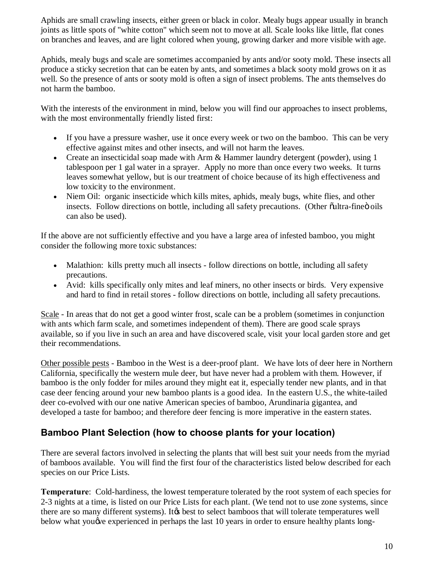Aphids are small crawling insects, either green or black in color. Mealy bugs appear usually in branch joints as little spots of "white cotton" which seem not to move at all. Scale looks like little, flat cones on branches and leaves, and are light colored when young, growing darker and more visible with age.

Aphids, mealy bugs and scale are sometimes accompanied by ants and/or sooty mold. These insects all produce a sticky secretion that can be eaten by ants, and sometimes a black sooty mold grows on it as well. So the presence of ants or sooty mold is often a sign of insect problems. The ants themselves do not harm the bamboo.

With the interests of the environment in mind, below you will find our approaches to insect problems, with the most environmentally friendly listed first:

- · If you have a pressure washer, use it once every week or two on the bamboo. This can be very effective against mites and other insects, and will not harm the leaves.
- Create an insecticidal soap made with Arm & Hammer laundry detergent (powder), using 1 tablespoon per 1 gal water in a sprayer. Apply no more than once every two weeks. It turns leaves somewhat yellow, but is our treatment of choice because of its high effectiveness and low toxicity to the environment.
- · Niem Oil: organic insecticide which kills mites, aphids, mealy bugs, white flies, and other insects. Follow directions on bottle, including all safety precautions. (Other oultra-fine oils can also be used).

If the above are not sufficiently effective and you have a large area of infested bamboo, you might consider the following more toxic substances:

- Malathion: kills pretty much all insects follow directions on bottle, including all safety precautions.
- · Avid: kills specifically only mites and leaf miners, no other insects or birds. Very expensive and hard to find in retail stores - follow directions on bottle, including all safety precautions.

Scale - In areas that do not get a good winter frost, scale can be a problem (sometimes in conjunction with ants which farm scale, and sometimes independent of them). There are good scale sprays available, so if you live in such an area and have discovered scale, visit your local garden store and get their recommendations.

Other possible pests - Bamboo in the West is a deer-proof plant. We have lots of deer here in Northern California, specifically the western mule deer, but have never had a problem with them. However, if bamboo is the only fodder for miles around they might eat it, especially tender new plants, and in that case deer fencing around your new bamboo plants is a good idea. In the eastern U.S., the white-tailed deer co-evolved with our one native American species of bamboo, Arundinaria gigantea, and developed a taste for bamboo; and therefore deer fencing is more imperative in the eastern states.

### **Bamboo Plant Selection (how to choose plants for your location)**

There are several factors involved in selecting the plants that will best suit your needs from the myriad of bamboos available. You will find the first four of the characteristics listed below described for each species on our Price Lists.

**Temperature**: Cold-hardiness, the lowest temperature tolerated by the root system of each species for 2-3 nights at a time, is listed on our Price Lists for each plant. (We tend not to use zone systems, since there are so many different systems). It to select bamboos that will tolerate temperatures well below what you we experienced in perhaps the last 10 years in order to ensure healthy plants long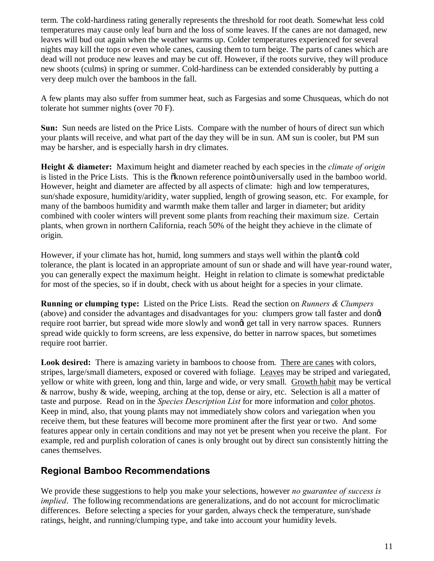term. The cold-hardiness rating generally represents the threshold for root death. Somewhat less cold temperatures may cause only leaf burn and the loss of some leaves. If the canes are not damaged, new leaves will bud out again when the weather warms up. Colder temperatures experienced for several nights may kill the tops or even whole canes, causing them to turn beige. The parts of canes which are dead will not produce new leaves and may be cut off. However, if the roots survive, they will produce new shoots (culms) in spring or summer. Cold-hardiness can be extended considerably by putting a very deep mulch over the bamboos in the fall.

A few plants may also suffer from summer heat, such as Fargesias and some Chusqueas, which do not tolerate hot summer nights (over 70 F).

**Sun:** Sun needs are listed on the Price Lists. Compare with the number of hours of direct sun which your plants will receive, and what part of the day they will be in sun. AM sun is cooler, but PM sun may be harsher, and is especially harsh in dry climates.

**Height & diameter:** Maximum height and diameter reached by each species in the *climate of origin* is listed in the Price Lists. This is the  $\ddot{\text{o}}$  known reference pointo universally used in the bamboo world. However, height and diameter are affected by all aspects of climate: high and low temperatures, sun/shade exposure, humidity/aridity, water supplied, length of growing season, etc. For example, for many of the bamboos humidity and warmth make them taller and larger in diameter; but aridity combined with cooler winters will prevent some plants from reaching their maximum size. Certain plants, when grown in northern California, reach 50% of the height they achieve in the climate of origin.

However, if your climate has hot, humid, long summers and stays well within the plant  $\alpha$  cold tolerance, the plant is located in an appropriate amount of sun or shade and will have year-round water, you can generally expect the maximum height. Height in relation to climate is somewhat predictable for most of the species, so if in doubt, check with us about height for a species in your climate.

**Running or clumping type:** Listed on the Price Lists. Read the section on *Runners & Clumpers* (above) and consider the advantages and disadvantages for you: clumpers grow tall faster and donet require root barrier, but spread wide more slowly and wongt get tall in very narrow spaces. Runners spread wide quickly to form screens, are less expensive, do better in narrow spaces, but sometimes require root barrier.

**Look desired:** There is amazing variety in bamboos to choose from. There are canes with colors, stripes, large/small diameters, exposed or covered with foliage. Leaves may be striped and variegated, yellow or white with green, long and thin, large and wide, or very small. Growth habit may be vertical & narrow, bushy & wide, weeping, arching at the top, dense or airy, etc. Selection is all a matter of taste and purpose. Read on in the *Species Description List* for more information and color photos. Keep in mind, also, that young plants may not immediately show colors and variegation when you receive them, but these features will become more prominent after the first year or two. And some features appear only in certain conditions and may not yet be present when you receive the plant. For example, red and purplish coloration of canes is only brought out by direct sun consistently hitting the canes themselves.

### **Regional Bamboo Recommendations**

We provide these suggestions to help you make your selections, however *no guarantee of success is implied*. The following recommendations are generalizations, and do not account for microclimatic differences. Before selecting a species for your garden, always check the temperature, sun/shade ratings, height, and running/clumping type, and take into account your humidity levels.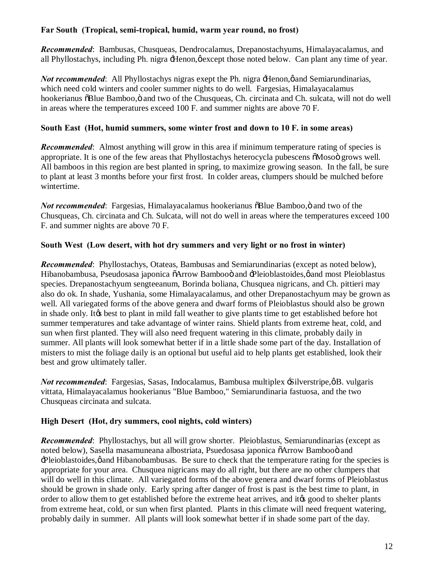#### **Far South (Tropical, semi-tropical, humid, warm year round, no frost)**

*Recommended*: Bambusas, Chusqueas, Dendrocalamus, Drepanostachyums, Himalayacalamus, and all Phyllostachys, including Ph. nigra -Henon,  $\phi$  except those noted below. Can plant any time of year.

*Not recommended*: All Phyllostachys nigras exept the Ph. nigra Henon, o and Semiarundinarias, which need cold winters and cooler summer nights to do well. Fargesias, Himalayacalamus hookerianus  $\delta$ Blue Bamboo,  $\ddot{o}$  and two of the Chusqueas, Ch. circinata and Ch. sulcata, will not do well in areas where the temperatures exceed 100 F. and summer nights are above 70 F.

#### **South East (Hot, humid summers, some winter frost and down to 10 F. in some areas)**

*Recommended*: Almost anything will grow in this area if minimum temperature rating of species is appropriate. It is one of the few areas that Phyllostachys heterocycla pubescens  $\delta M$ osoö grows well. All bamboos in this region are best planted in spring, to maximize growing season. In the fall, be sure to plant at least 3 months before your first frost. In colder areas, clumpers should be mulched before wintertime.

*Not recommended*: Fargesias, Himalayacalamus hookerianus  $\delta$ Blue Bamboo,  $\delta$  and two of the Chusqueas, Ch. circinata and Ch. Sulcata, will not do well in areas where the temperatures exceed 100 F. and summer nights are above 70 F.

#### **South West (Low desert, with hot dry summers and very light or no frost in winter)**

*Recommended*: Phyllostachys, Otateas, Bambusas and Semiarundinarias (except as noted below), Hibanobambusa, Pseudosasa japonica õArrow Bambooö and -Pleioblastoides,ø and most Pleioblastus species. Drepanostachyum sengteeanum, Borinda boliana, Chusquea nigricans, and Ch. pittieri may also do ok. In shade, Yushania, some Himalayacalamus, and other Drepanostachyum may be grown as well. All variegated forms of the above genera and dwarf forms of Pleioblastus should also be grown in shade only. It to best to plant in mild fall weather to give plants time to get established before hot summer temperatures and take advantage of winter rains. Shield plants from extreme heat, cold, and sun when first planted. They will also need frequent watering in this climate, probably daily in summer. All plants will look somewhat better if in a little shade some part of the day. Installation of misters to mist the foliage daily is an optional but useful aid to help plants get established, look their best and grow ultimately taller.

*Not recommended*: Fargesias, Sasas, Indocalamus, Bambusa multiplex -Silverstripe, øB. vulgaris vittata, Himalayacalamus hookerianus "Blue Bamboo," Semiarundinaria fastuosa, and the two Chusqueas circinata and sulcata.

#### **High Desert (Hot, dry summers, cool nights, cold winters)**

*Recommended*: Phyllostachys, but all will grow shorter. Pleioblastus, Semiarundinarias (except as noted below), Sasella masamuneana albostriata, Psuedosasa japonica õArrow Bambooö and  $\exists$ Pleioblastoides, $\emptyset$  and Hibanobambusas. Be sure to check that the temperature rating for the species is appropriate for your area. Chusquea nigricans may do all right, but there are no other clumpers that will do well in this climate. All variegated forms of the above genera and dwarf forms of Pleioblastus should be grown in shade only. Early spring after danger of frost is past is the best time to plant, in order to allow them to get established before the extreme heat arrives, and it to good to shelter plants from extreme heat, cold, or sun when first planted. Plants in this climate will need frequent watering, probably daily in summer. All plants will look somewhat better if in shade some part of the day.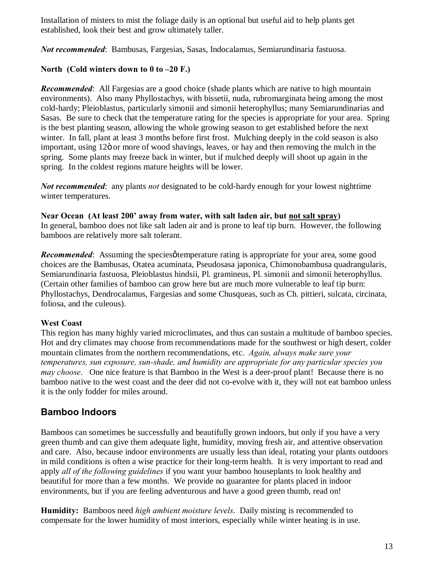Installation of misters to mist the foliage daily is an optional but useful aid to help plants get established, look their best and grow ultimately taller.

*Not recommended*: Bambusas, Fargesias, Sasas, Indocalamus, Semiarundinaria fastuosa.

#### **North (Cold winters down to 0 to –20 F.)**

*Recommended*: All Fargesias are a good choice (shade plants which are native to high mountain environments). Also many Phyllostachys, with bissetii, nuda, rubromarginata being among the most cold-hardy; Pleioblastus, particularly simonii and simonii heterophyllus; many Semiarundinarias and Sasas. Be sure to check that the temperature rating for the species is appropriate for your area. Spring is the best planting season, allowing the whole growing season to get established before the next winter. In fall, plant at least 3 months before first frost. Mulching deeply in the cold season is also important, using 12 $\ddot{o}$  or more of wood shavings, leaves, or hay and then removing the mulch in the spring. Some plants may freeze back in winter, but if mulched deeply will shoot up again in the spring. In the coldest regions mature heights will be lower.

*Not recommended*: any plants *not* designated to be cold-hardy enough for your lowest nighttime winter temperatures.

**Near Ocean (At least 200' away from water, with salt laden air, but not salt spray)** In general, bamboo does not like salt laden air and is prone to leaf tip burn. However, the following bamboos are relatively more salt tolerant.

**Recommended:** Assuming the species of temperature rating is appropriate for your area, some good choices are the Bambusas, Otatea acuminata, Pseudosasa japonica, Chimonobambusa quadrangularis, Semiarundinaria fastuosa, Pleioblastus hindsii, Pl. gramineus, Pl. simonii and simonii heterophyllus. (Certain other families of bamboo can grow here but are much more vulnerable to leaf tip burn: Phyllostachys, Dendrocalamus, Fargesias and some Chusqueas, such as Ch. pittieri, sulcata, circinata, foliosa, and the culeous).

#### **West Coast**

This region has many highly varied microclimates, and thus can sustain a multitude of bamboo species. Hot and dry climates may choose from recommendations made for the southwest or high desert, colder mountain climates from the northern recommendations, etc. *Again, always make sure your temperatures, sun exposure, sun-shade, and humidity are appropriate for any particular species you may choose*. One nice feature is that Bamboo in the West is a deer-proof plant! Because there is no bamboo native to the west coast and the deer did not co-evolve with it, they will not eat bamboo unless it is the only fodder for miles around.

#### **Bamboo Indoors**

Bamboos can sometimes be successfully and beautifully grown indoors, but only if you have a very green thumb and can give them adequate light, humidity, moving fresh air, and attentive observation and care. Also, because indoor environments are usually less than ideal, rotating your plants outdoors in mild conditions is often a wise practice for their long-term health. It is very important to read and apply *all of the following guidelines* if you want your bamboo houseplants to look healthy and beautiful for more than a few months. We provide no guarantee for plants placed in indoor environments, but if you are feeling adventurous and have a good green thumb, read on!

**Humidity:** Bamboos need *high ambient moisture levels*. Daily misting is recommended to compensate for the lower humidity of most interiors, especially while winter heating is in use.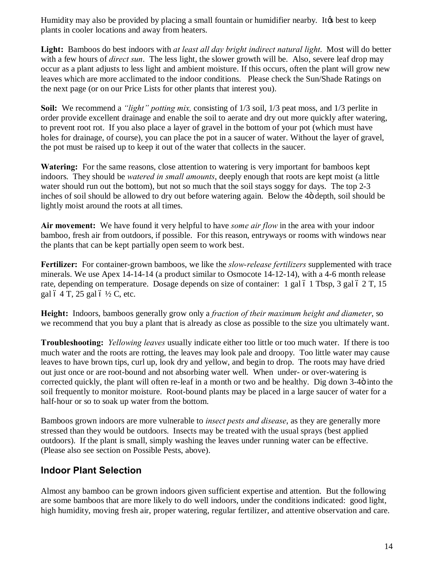Humidity may also be provided by placing a small fountain or humidifier nearby. It to keep plants in cooler locations and away from heaters.

**Light:** Bamboos do best indoors with *at least all day bright indirect natural light*. Most will do better with a few hours of *direct sun*. The less light, the slower growth will be. Also, severe leaf drop may occur as a plant adjusts to less light and ambient moisture. If this occurs, often the plant will grow new leaves which are more acclimated to the indoor conditions. Please check the Sun/Shade Ratings on the next page (or on our Price Lists for other plants that interest you).

**Soil:** We recommend a *"light" potting mix,* consisting of 1/3 soil, 1/3 peat moss, and 1/3 perlite in order provide excellent drainage and enable the soil to aerate and dry out more quickly after watering, to prevent root rot. If you also place a layer of gravel in the bottom of your pot (which must have holes for drainage, of course), you can place the pot in a saucer of water. Without the layer of gravel, the pot must be raised up to keep it out of the water that collects in the saucer.

**Watering:** For the same reasons, close attention to watering is very important for bamboos kept indoors. They should be *watered in small amounts*, deeply enough that roots are kept moist (a little water should run out the bottom), but not so much that the soil stays soggy for days. The top 2-3 inches of soil should be allowed to dry out before watering again. Below the 4 $\ddot{o}$  depth, soil should be lightly moist around the roots at all times.

**Air movement:** We have found it very helpful to have *some air flow* in the area with your indoor bamboo, fresh air from outdoors, if possible. For this reason, entryways or rooms with windows near the plants that can be kept partially open seem to work best.

**Fertilizer:** For container-grown bamboos, we like the *slow-release fertilizers* supplemented with trace minerals. We use Apex 14-14-14 (a product similar to Osmocote 14-12-14), with a 4-6 month release rate, depending on temperature. Dosage depends on size of container: 1 gal  $6$  1 Tbsp, 3 gal  $6$  2 T, 15 gal  $6$  4 T, 25 gal  $6\frac{1}{2}$  C, etc.

**Height:** Indoors, bamboos generally grow only a *fraction of their maximum height and diameter*, so we recommend that you buy a plant that is already as close as possible to the size you ultimately want.

**Troubleshooting:** *Yellowing leaves* usually indicate either too little or too much water. If there is too much water and the roots are rotting, the leaves may look pale and droopy. Too little water may cause leaves to have brown tips, curl up, look dry and yellow, and begin to drop. The roots may have dried out just once or are root-bound and not absorbing water well. When under- or over-watering is corrected quickly, the plant will often re-leaf in a month or two and be healthy. Dig down 3-4 $\ddot{o}$  into the soil frequently to monitor moisture. Root-bound plants may be placed in a large saucer of water for a half-hour or so to soak up water from the bottom.

Bamboos grown indoors are more vulnerable to *insect pests and disease*, as they are generally more stressed than they would be outdoors. Insects may be treated with the usual sprays (best applied outdoors). If the plant is small, simply washing the leaves under running water can be effective. (Please also see section on Possible Pests, above).

# **Indoor Plant Selection**

Almost any bamboo can be grown indoors given sufficient expertise and attention. But the following are some bamboos that are more likely to do well indoors, under the conditions indicated: good light, high humidity, moving fresh air, proper watering, regular fertilizer, and attentive observation and care.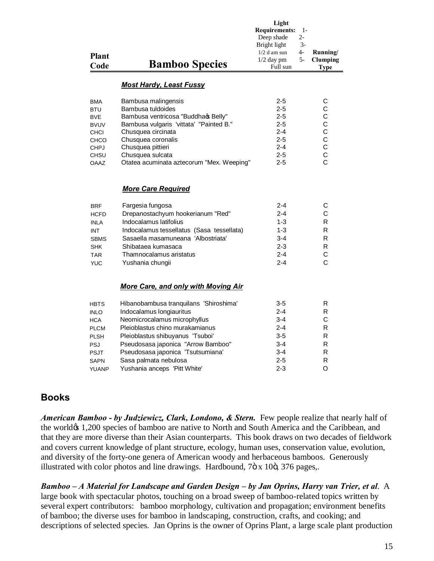| <b>Plant</b><br>Code                                                                                                             | <b>Bamboo Species</b>                                                                                                                                                                                                                                                         | Light<br><b>Requirements:</b><br>$1-$<br>Deep shade<br>2-<br>$3-$<br>Bright light<br>4-<br>$1/2$ d am sun<br>$5-$<br>$1/2$ day pm<br>Full sun | Running/<br>Clumping<br><b>Type</b>                                                                         |
|----------------------------------------------------------------------------------------------------------------------------------|-------------------------------------------------------------------------------------------------------------------------------------------------------------------------------------------------------------------------------------------------------------------------------|-----------------------------------------------------------------------------------------------------------------------------------------------|-------------------------------------------------------------------------------------------------------------|
|                                                                                                                                  | <b>Most Hardy, Least Fussy</b>                                                                                                                                                                                                                                                |                                                                                                                                               |                                                                                                             |
| <b>BMA</b><br><b>BTU</b><br><b>BVE</b><br><b>BVUV</b><br><b>CHCI</b><br><b>CHCO</b><br><b>CHPJ</b><br><b>CHSU</b><br><b>OAAZ</b> | Bambusa malingensis<br>Bambusa tuldoides<br>Bambusa ventricosa "Buddhaq Belly"<br>Bambusa vulgaris 'vittata' "Painted B."<br>Chusquea circinata<br>Chusquea coronalis<br>Chusquea pittieri<br>Chusquea sulcata<br>Otatea acuminata aztecorum "Mex. Weeping"                   | $2 - 5$<br>$2 - 5$<br>$2 - 5$<br>$2 - 5$<br>$2 - 4$<br>$2 - 5$<br>$2 - 4$<br>$2 - 5$<br>$2 - 5$                                               | C<br>C<br>$\mathsf C$<br>$\mathsf{C}$<br>$\mathsf C$<br>$\mathsf{C}$<br>C<br>$\mathsf{C}$<br>$\overline{C}$ |
|                                                                                                                                  | <b>More Care Required</b>                                                                                                                                                                                                                                                     |                                                                                                                                               |                                                                                                             |
| <b>BRF</b><br><b>HCFD</b><br><b>INLA</b><br><b>INT</b><br><b>SBMS</b><br><b>SHK</b><br><b>TAR</b><br><b>YUC</b>                  | Fargesia fungosa<br>Drepanostachyum hookerianum "Red"<br>Indocalamus latifolius<br>Indocalamus tessellatus (Sasa tessellata)<br>Sasaella masamuneana 'Albostriata'<br>Shibataea kumasaca<br>Thamnocalamus aristatus<br>Yushania chungii                                       | $2 - 4$<br>$2 - 4$<br>$1 - 3$<br>$1 - 3$<br>$3 - 4$<br>$2 - 3$<br>$2 - 4$<br>$2 - 4$                                                          | С<br>С<br>R<br>R<br>R<br>R<br>C<br>C                                                                        |
|                                                                                                                                  | More Care, and only with Moving Air                                                                                                                                                                                                                                           |                                                                                                                                               |                                                                                                             |
| <b>HBTS</b><br><b>INLO</b><br><b>HCA</b><br><b>PLCM</b><br><b>PLSH</b><br>PSJ<br><b>PSJT</b><br><b>SAPN</b>                      | Hibanobambusa tranquilans 'Shiroshima'<br>Indocalamus longiauritus<br>Neomicrocalamus microphyllus<br>Pleioblastus chino murakamianus<br>Pleioblastus shibuyanus 'Tsuboi'<br>Pseudosasa japonica "Arrow Bamboo"<br>Pseudosasa japonica 'Tsutsumiana'<br>Sasa palmata nebulosa | $3-5$<br>$2 - 4$<br>$3 - 4$<br>2-4<br>$3 - 5$<br>$3 - 4$<br>$3 - 4$<br>$2 - 5$                                                                | R<br>R<br>С<br>R<br>R<br>R<br>R<br>R                                                                        |

#### **Books**

*American Bamboo - by Judziewicz, Clark, Londono, & Stern.* Few people realize that nearly half of the world $\alpha$  1,200 species of bamboo are native to North and South America and the Caribbean, and that they are more diverse than their Asian counterparts. This book draws on two decades of fieldwork and covers current knowledge of plant structure, ecology, human uses, conservation value, evolution, and diversity of the forty-one genera of American woody and herbaceous bamboos. Generously illustrated with color photos and line drawings. Hardbound,  $7\ddot{\text{o}}$  x 10 $\ddot{\text{o}}$ , 376 pages,.

YUANP Yushania anceps 'Pitt White' 2-3 O

*Bamboo – A Material for Landscape and Garden Design – by Jan Oprins, Harry van Trier, et al*. A large book with spectacular photos, touching on a broad sweep of bamboo-related topics written by several expert contributors: bamboo morphology, cultivation and propagation; environment benefits of bamboo; the diverse uses for bamboo in landscaping, construction, crafts, and cooking; and descriptions of selected species. Jan Oprins is the owner of Oprins Plant, a large scale plant production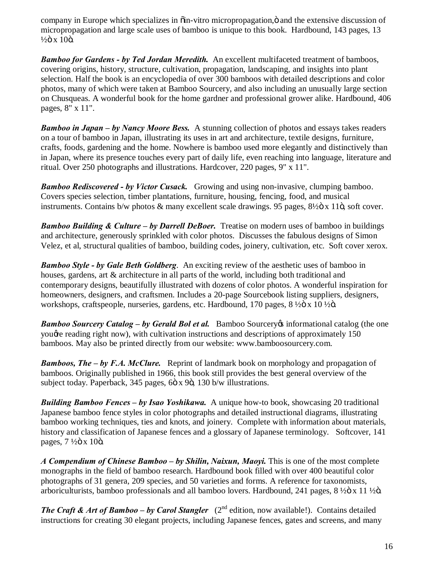company in Europe which specializes in  $\ddot{\text{o}}$  in-vitro micropropagation,  $\ddot{\text{o}}$  and the extensive discussion of micropropagation and large scale uses of bamboo is unique to this book. Hardbound, 143 pages, 13  $\frac{1}{2}$ ö x 10ö.

*Bamboo for Gardens - by Ted Jordan Meredith.* An excellent multifaceted treatment of bamboos, covering origins, history, structure, cultivation, propagation, landscaping, and insights into plant selection. Half the book is an encyclopedia of over 300 bamboos with detailed descriptions and color photos, many of which were taken at Bamboo Sourcery, and also including an unusually large section on Chusqueas. A wonderful book for the home gardner and professional grower alike. Hardbound, 406 pages, 8" x 11".

*Bamboo in Japan – by Nancy Moore Bess.* A stunning collection of photos and essays takes readers on a tour of bamboo in Japan, illustrating its uses in art and architecture, textile designs, furniture, crafts, foods, gardening and the home. Nowhere is bamboo used more elegantly and distinctively than in Japan, where its presence touches every part of daily life, even reaching into language, literature and ritual. Over 250 photographs and illustrations. Hardcover, 220 pages, 9" x 11".

*Bamboo Rediscovered - by Victor Cusack.* Growing and using non-invasive, clumping bamboo. Covers species selection, timber plantations, furniture, housing, fencing, food, and musical instruments. Contains b/w photos & many excellent scale drawings. 95 pages, 8½ö x 11ö, soft cover.

*Bamboo Building & Culture – by Darrell DeBoer.* Treatise on modern uses of bamboo in buildings and architecture, generously sprinkled with color photos. Discusses the fabulous designs of Simon Velez, et al, structural qualities of bamboo, building codes, joinery, cultivation, etc. Soft cover xerox.

*Bamboo Style - by Gale Beth Goldberg*. An exciting review of the aesthetic uses of bamboo in houses, gardens, art & architecture in all parts of the world, including both traditional and contemporary designs, beautifully illustrated with dozens of color photos. A wonderful inspiration for homeowners, designers, and craftsmen. Includes a 20-page Sourcebook listing suppliers, designers, workshops, craftspeople, nurseries, gardens, etc. Hardbound,  $170$  pages,  $8\frac{1}{2}$  $\alpha$  x  $10\frac{1}{2}$  $\alpha$ .

*Bamboo Sourcery Catalog – by Gerald Bol et al.* Bamboo Sourcery informational catalog (the one yought reading right now), with cultivation instructions and descriptions of approximately 150 bamboos. May also be printed directly from our website: www.bamboosourcery.com.

*Bamboos, The – by F.A. McClure.* Reprint of landmark book on morphology and propagation of bamboos. Originally published in 1966, this book still provides the best general overview of the subject today. Paperback, 345 pages, 6ö x 9ö, 130 b/w illustrations.

*Building Bamboo Fences – by Isao Yoshikawa.* A unique how-to book, showcasing 20 traditional Japanese bamboo fence styles in color photographs and detailed instructional diagrams, illustrating bamboo working techniques, ties and knots, and joinery. Complete with information about materials, history and classification of Japanese fences and a glossary of Japanese terminology. Softcover, 141 pages,  $7\frac{1}{2}$ ö x 10ö.

*A Compendium of Chinese Bamboo – by Shilin, Naixun, Maoyi.* This is one of the most complete monographs in the field of bamboo research. Hardbound book filled with over 400 beautiful color photographs of 31 genera, 209 species, and 50 varieties and forms. A reference for taxonomists, arboriculturists, bamboo professionals and all bamboo lovers. Hardbound, 241 pages, 8 ½ is x 11 ½ is.

*The Craft & Art of Bamboo – by Carol Stangler*  $(2^{nd}$  edition, now available!). Contains detailed instructions for creating 30 elegant projects, including Japanese fences, gates and screens, and many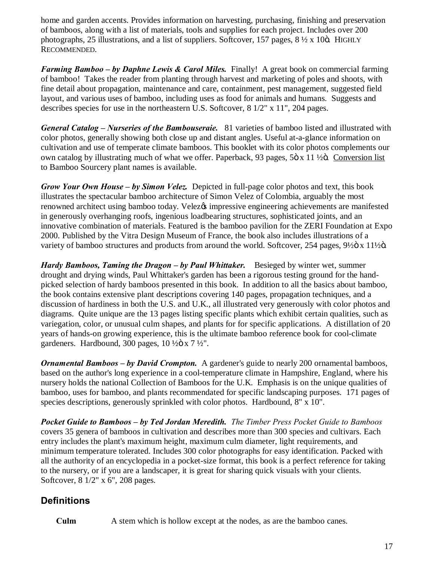home and garden accents. Provides information on harvesting, purchasing, finishing and preservation of bamboos, along with a list of materials, tools and supplies for each project. Includes over 200 photographs, 25 illustrations, and a list of suppliers. Softcover, 157 pages,  $8\frac{1}{2}x$  10 $\ddot{o}$ . HIGHLY RECOMMENDED.

*Farming Bamboo – by Daphne Lewis & Carol Miles.* Finally! A great book on commercial farming of bamboo! Takes the reader from planting through harvest and marketing of poles and shoots, with fine detail about propagation, maintenance and care, containment, pest management, suggested field layout, and various uses of bamboo, including uses as food for animals and humans. Suggests and describes species for use in the northeastern U.S. Softcover,  $8\frac{1}{2}$ " x  $11$ ", 204 pages.

*General Catalog – Nurseries of the Bambouseraie.* 81 varieties of bamboo listed and illustrated with color photos, generally showing both close up and distant angles. Useful at-a-glance information on cultivation and use of temperate climate bamboos. This booklet with its color photos complements our own catalog by illustrating much of what we offer. Paperback, 93 pages, 5 $\ddot{\text{o}}$  x 11  $\frac{1}{2}$ . C[onversion list](http://www.bamboosourcery.com/bambconv.doc) to Bamboo Sourcery plant names is available.

*Grow Your Own House – by Simon Velez.* Depicted in full-page color photos and text, this book illustrates the spectacular bamboo architecture of Simon Velez of Colombia, arguably the most renowned architect using bamboo today. Velez $\alpha$ s impressive engineering achievements are manifested in generously overhanging roofs, ingenious loadbearing structures, sophisticated joints, and an innovative combination of materials. Featured is the bamboo pavilion for the ZERI Foundation at Expo 2000. Published by the Vitra Design Museum of France, the book also includes illustrations of a variety of bamboo structures and products from around the world. Softcover, 254 pages, 9½ö x 11½ö.

*Hardy Bamboos, Taming the Dragon – by Paul Whittaker.* Besieged by winter wet, summer drought and drying winds, Paul Whittaker's garden has been a rigorous testing ground for the handpicked selection of hardy bamboos presented in this book. In addition to all the basics about bamboo, the book contains extensive plant descriptions covering 140 pages, propagation techniques, and a discussion of hardiness in both the U.S. and U.K., all illustrated very generously with color photos and diagrams. Quite unique are the 13 pages listing specific plants which exhibit certain qualities, such as variegation, color, or unusual culm shapes, and plants for for specific applications. A distillation of 20 years of hands-on growing experience, this is the ultimate bamboo reference book for cool-climate gardeners. Hardbound, 300 pages,  $10\frac{1}{20} \times 7\frac{1}{2}$ ".

*Ornamental Bamboos – by David Crompton.* A gardener's guide to nearly 200 ornamental bamboos, based on the author's long experience in a cool-temperature climate in Hampshire, England, where his nursery holds the national Collection of Bamboos for the U.K. Emphasis is on the unique qualities of bamboo, uses for bamboo, and plants recommendated for specific landscaping purposes. 171 pages of species descriptions, generously sprinkled with color photos. Hardbound, 8" x 10".

*Pocket Guide to Bamboos – by Ted Jordan Meredith. The Timber Press Pocket Guide to Bamboos* covers 35 genera of bamboos in cultivation and describes more than 300 species and cultivars. Each entry includes the plant's maximum height, maximum culm diameter, light requirements, and minimum temperature tolerated. Includes 300 color photographs for easy identification. Packed with all the authority of an encyclopedia in a pocket-size format, this book is a perfect reference for taking to the nursery, or if you are a landscaper, it is great for sharing quick visuals with your clients. Softcover, 8 1/2" x 6", 208 pages.

# **Definitions**

**Culm** A stem which is hollow except at the nodes, as are the bamboo canes.